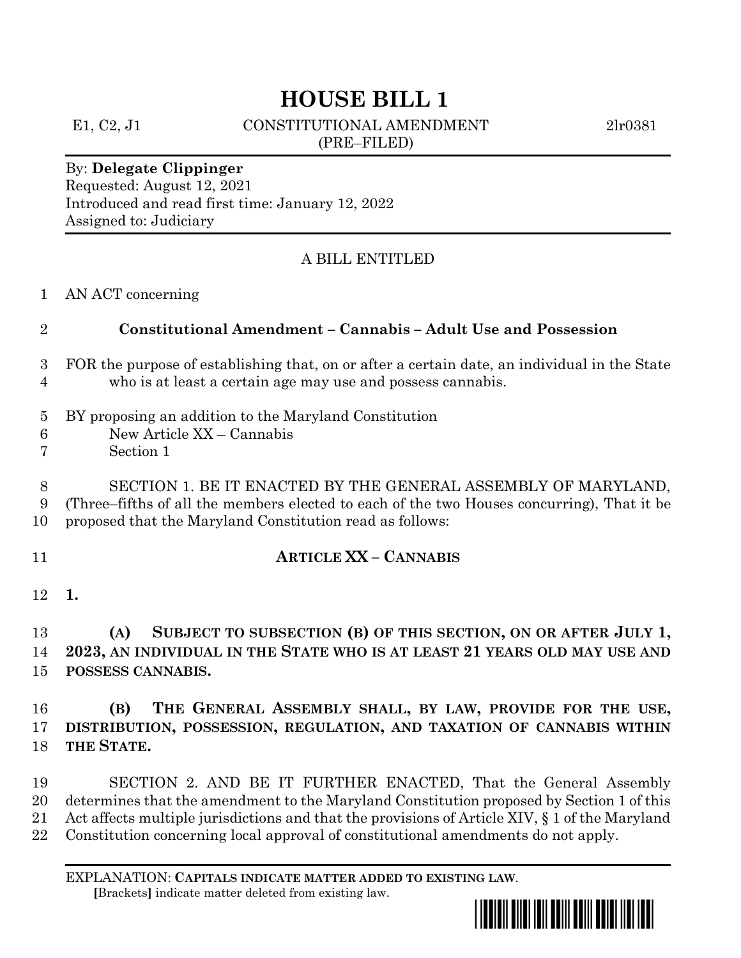# **HOUSE BILL 1**

E1, C2, J1 CONSTITUTIONAL AMENDMENT 2lr0381 (PRE–FILED)

#### By: **Delegate Clippinger** Requested: August 12, 2021 Introduced and read first time: January 12, 2022 Assigned to: Judiciary

# A BILL ENTITLED

#### AN ACT concerning

#### **Constitutional Amendment – Cannabis – Adult Use and Possession**

# FOR the purpose of establishing that, on or after a certain date, an individual in the State who is at least a certain age may use and possess cannabis.

# BY proposing an addition to the Maryland Constitution

- New Article XX Cannabis
- Section 1

 SECTION 1. BE IT ENACTED BY THE GENERAL ASSEMBLY OF MARYLAND, (Three–fifths of all the members elected to each of the two Houses concurring), That it be proposed that the Maryland Constitution read as follows:

# **ARTICLE XX – CANNABIS**

**1.**

 **(A) SUBJECT TO SUBSECTION (B) OF THIS SECTION, ON OR AFTER JULY 1, 2023, AN INDIVIDUAL IN THE STATE WHO IS AT LEAST 21 YEARS OLD MAY USE AND POSSESS CANNABIS.**

 **(B) THE GENERAL ASSEMBLY SHALL, BY LAW, PROVIDE FOR THE USE, DISTRIBUTION, POSSESSION, REGULATION, AND TAXATION OF CANNABIS WITHIN THE STATE.**

 SECTION 2. AND BE IT FURTHER ENACTED, That the General Assembly determines that the amendment to the Maryland Constitution proposed by Section 1 of this Act affects multiple jurisdictions and that the provisions of Article XIV, § 1 of the Maryland Constitution concerning local approval of constitutional amendments do not apply.

EXPLANATION: **CAPITALS INDICATE MATTER ADDED TO EXISTING LAW**.  **[**Brackets**]** indicate matter deleted from existing law.